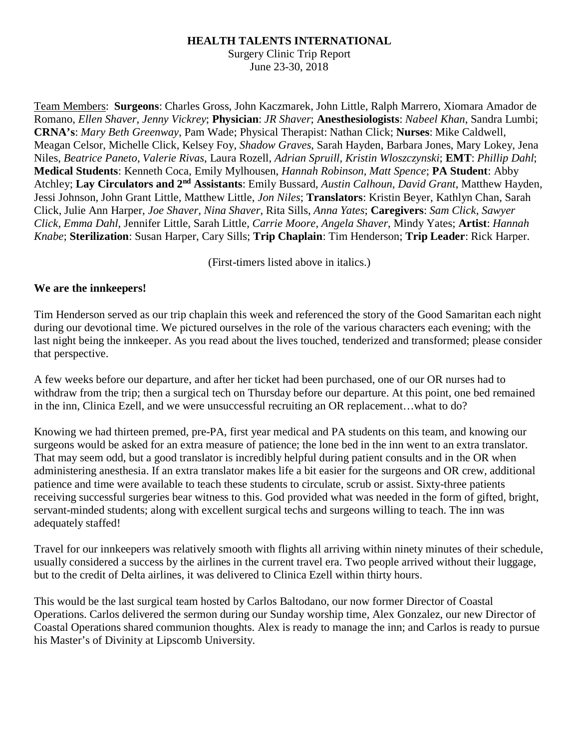## **HEALTH TALENTS INTERNATIONAL**

Surgery Clinic Trip Report June 23-30, 2018

Team Members: **Surgeons**: Charles Gross, John Kaczmarek, John Little, Ralph Marrero, Xiomara Amador de Romano, *Ellen Shaver, Jenny Vickrey*; **Physician**: *JR Shaver*; **Anesthesiologists**: *Nabeel Khan*, Sandra Lumbi; **CRNA's**: *Mary Beth Greenway*, Pam Wade; Physical Therapist: Nathan Click; **Nurses**: Mike Caldwell, Meagan Celsor, Michelle Click, Kelsey Foy, *Shadow Graves*, Sarah Hayden, Barbara Jones, Mary Lokey, Jena Niles, *Beatrice Paneto, Valerie Rivas*, Laura Rozell, *Adrian Spruill, Kristin Wloszczynski*; **EMT**: *Phillip Dahl*; **Medical Students**: Kenneth Coca, Emily Mylhousen, *Hannah Robinson, Matt Spence*; **PA Student**: Abby Atchley; **Lay Circulators and 2nd Assistants**: Emily Bussard, *Austin Calhoun, David Grant*, Matthew Hayden, Jessi Johnson, John Grant Little, Matthew Little, *Jon Niles*; **Translators**: Kristin Beyer, Kathlyn Chan, Sarah Click, Julie Ann Harper, *Joe Shaver, Nina Shaver*, Rita Sills, *Anna Yates*; **Caregivers**: *Sam Click, Sawyer Click, Emma Dahl*, Jennifer Little, Sarah Little, *Carrie Moore, Angela Shaver*, Mindy Yates; **Artist**: *Hannah Knabe*; **Sterilization**: Susan Harper, Cary Sills; **Trip Chaplain**: Tim Henderson; **Trip Leader**: Rick Harper.

(First-timers listed above in italics.)

## **We are the innkeepers!**

Tim Henderson served as our trip chaplain this week and referenced the story of the Good Samaritan each night during our devotional time. We pictured ourselves in the role of the various characters each evening; with the last night being the innkeeper. As you read about the lives touched, tenderized and transformed; please consider that perspective.

A few weeks before our departure, and after her ticket had been purchased, one of our OR nurses had to withdraw from the trip; then a surgical tech on Thursday before our departure. At this point, one bed remained in the inn, Clinica Ezell, and we were unsuccessful recruiting an OR replacement…what to do?

Knowing we had thirteen premed, pre-PA, first year medical and PA students on this team, and knowing our surgeons would be asked for an extra measure of patience; the lone bed in the inn went to an extra translator. That may seem odd, but a good translator is incredibly helpful during patient consults and in the OR when administering anesthesia. If an extra translator makes life a bit easier for the surgeons and OR crew, additional patience and time were available to teach these students to circulate, scrub or assist. Sixty-three patients receiving successful surgeries bear witness to this. God provided what was needed in the form of gifted, bright, servant-minded students; along with excellent surgical techs and surgeons willing to teach. The inn was adequately staffed!

Travel for our innkeepers was relatively smooth with flights all arriving within ninety minutes of their schedule, usually considered a success by the airlines in the current travel era. Two people arrived without their luggage, but to the credit of Delta airlines, it was delivered to Clinica Ezell within thirty hours.

This would be the last surgical team hosted by Carlos Baltodano, our now former Director of Coastal Operations. Carlos delivered the sermon during our Sunday worship time, Alex Gonzalez, our new Director of Coastal Operations shared communion thoughts. Alex is ready to manage the inn; and Carlos is ready to pursue his Master's of Divinity at Lipscomb University.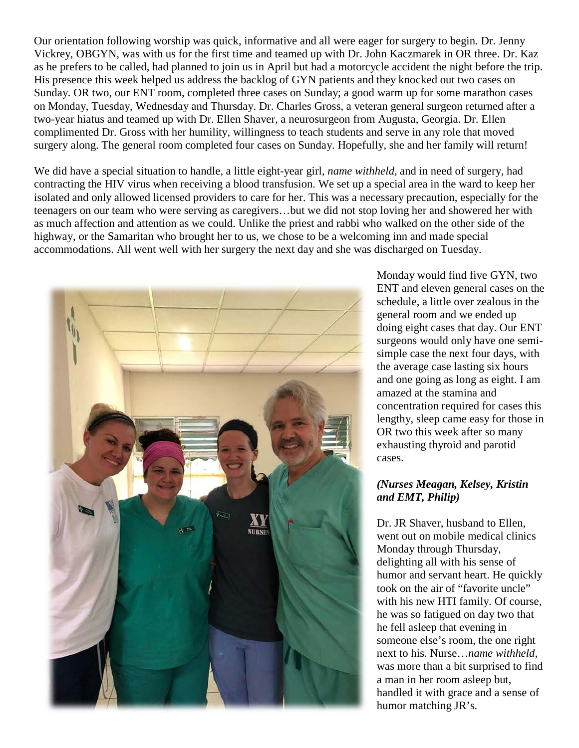Our orientation following worship was quick, informative and all were eager for surgery to begin. Dr. Jenny Vickrey, OBGYN, was with us for the first time and teamed up with Dr. John Kaczmarek in OR three. Dr. Kaz as he prefers to be called, had planned to join us in April but had a motorcycle accident the night before the trip. His presence this week helped us address the backlog of GYN patients and they knocked out two cases on Sunday. OR two, our ENT room, completed three cases on Sunday; a good warm up for some marathon cases on Monday, Tuesday, Wednesday and Thursday. Dr. Charles Gross, a veteran general surgeon returned after a two-year hiatus and teamed up with Dr. Ellen Shaver, a neurosurgeon from Augusta, Georgia. Dr. Ellen complimented Dr. Gross with her humility, willingness to teach students and serve in any role that moved surgery along. The general room completed four cases on Sunday. Hopefully, she and her family will return!

We did have a special situation to handle, a little eight-year girl, *name withheld*, and in need of surgery, had contracting the HIV virus when receiving a blood transfusion. We set up a special area in the ward to keep her isolated and only allowed licensed providers to care for her. This was a necessary precaution, especially for the teenagers on our team who were serving as caregivers…but we did not stop loving her and showered her with as much affection and attention as we could. Unlike the priest and rabbi who walked on the other side of the highway, or the Samaritan who brought her to us, we chose to be a welcoming inn and made special accommodations. All went well with her surgery the next day and she was discharged on Tuesday.



Monday would find five GYN, two ENT and eleven general cases on the schedule, a little over zealous in the general room and we ended up doing eight cases that day. Our ENT surgeons would only have one semisimple case the next four days, with the average case lasting six hours and one going as long as eight. I am amazed at the stamina and concentration required for cases this lengthy, sleep came easy for those in OR two this week after so many exhausting thyroid and parotid cases.

## *(Nurses Meagan, Kelsey, Kristin and EMT, Philip)*

Dr. JR Shaver, husband to Ellen, went out on mobile medical clinics Monday through Thursday, delighting all with his sense of humor and servant heart. He quickly took on the air of "favorite uncle" with his new HTI family. Of course, he was so fatigued on day two that he fell asleep that evening in someone else's room, the one right next to his. Nurse…*name withheld,*  was more than a bit surprised to find a man in her room asleep but, handled it with grace and a sense of humor matching JR's.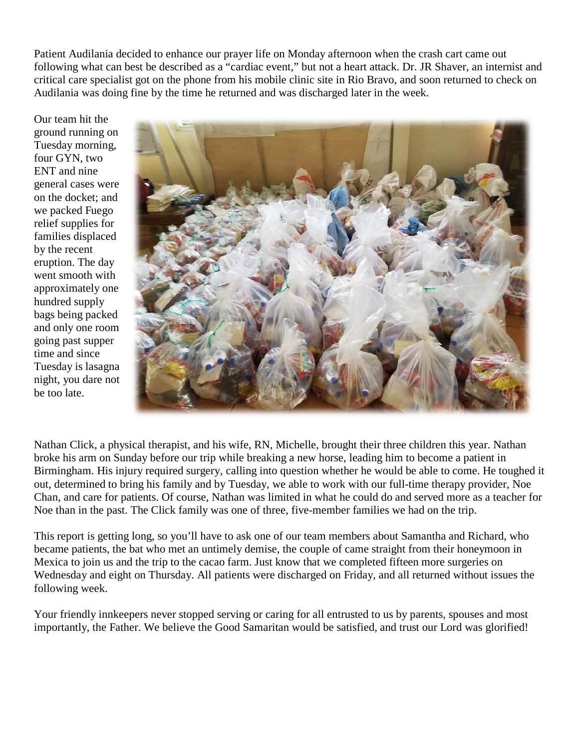Patient Audilania decided to enhance our prayer life on Monday afternoon when the crash cart came out following what can best be described as a "cardiac event," but not a heart attack. Dr. JR Shaver, an internist and critical care specialist got on the phone from his mobile clinic site in Rio Bravo, and soon returned to check on Audilania was doing fine by the time he returned and was discharged later in the week.

Our team hit the ground running on Tuesday morning, four GYN, two ENT and nine general cases were on the docket; and we packed Fuego relief supplies for families displaced by the recent eruption. The day went smooth with approximately one hundred supply bags being packed and only one room going past supper time and since Tuesday is lasagna night, you dare not be too late.



Nathan Click, a physical therapist, and his wife, RN, Michelle, brought their three children this year. Nathan broke his arm on Sunday before our trip while breaking a new horse, leading him to become a patient in Birmingham. His injury required surgery, calling into question whether he would be able to come. He toughed it out, determined to bring his family and by Tuesday, we able to work with our full-time therapy provider, Noe Chan, and care for patients. Of course, Nathan was limited in what he could do and served more as a teacher for Noe than in the past. The Click family was one of three, five-member families we had on the trip.

This report is getting long, so you'll have to ask one of our team members about Samantha and Richard, who became patients, the bat who met an untimely demise, the couple of came straight from their honeymoon in Mexica to join us and the trip to the cacao farm. Just know that we completed fifteen more surgeries on Wednesday and eight on Thursday. All patients were discharged on Friday, and all returned without issues the following week.

Your friendly innkeepers never stopped serving or caring for all entrusted to us by parents, spouses and most importantly, the Father. We believe the Good Samaritan would be satisfied, and trust our Lord was glorified!